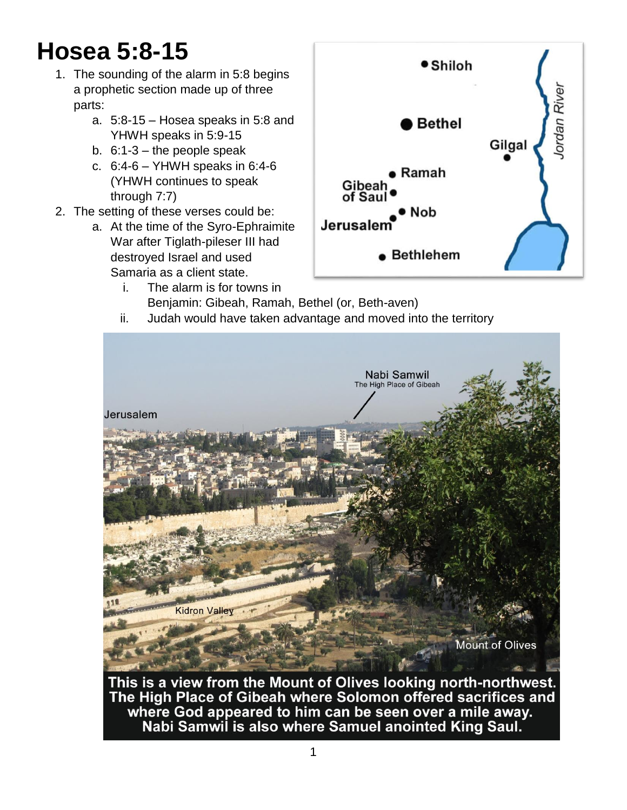# **Hosea 5:8-15**

- 1. The sounding of the alarm in 5:8 begins a prophetic section made up of three parts:
	- a. 5:8-15 Hosea speaks in 5:8 and YHWH speaks in 5:9-15
	- b.  $6:1-3$  the people speak
	- c. 6:4-6 YHWH speaks in 6:4-6 (YHWH continues to speak through 7:7)
- 2. The setting of these verses could be:
	- a. At the time of the Syro-Ephraimite War after Tiglath-pileser III had destroyed Israel and used Samaria as a client state.
		- i. The alarm is for towns in Benjamin: Gibeah, Ramah, Bethel (or, Beth-aven)



ii. Judah would have taken advantage and moved into the territory



The High Place of Gibeah where Solomon offered sacrifices and where God appeared to him can be seen over a mile away. Nabi Samwil is also where Samuel anointed King Saul.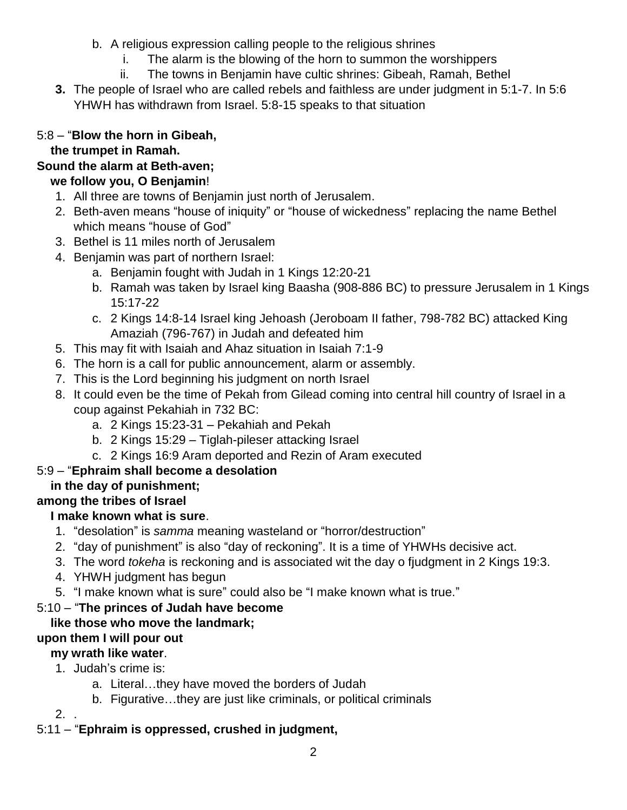- b. A religious expression calling people to the religious shrines
	- i. The alarm is the blowing of the horn to summon the worshippers
	- ii. The towns in Benjamin have cultic shrines: Gibeah, Ramah, Bethel
- **3.** The people of Israel who are called rebels and faithless are under judgment in 5:1-7. In 5:6 YHWH has withdrawn from Israel. 5:8-15 speaks to that situation

## 5:8 – "**Blow the horn in Gibeah,**

## **the trumpet in Ramah.**

## **Sound the alarm at Beth-aven;**

## **we follow you, O Benjamin**!

- 1. All three are towns of Benjamin just north of Jerusalem.
- 2. Beth-aven means "house of iniquity" or "house of wickedness" replacing the name Bethel which means "house of God"
- 3. Bethel is 11 miles north of Jerusalem
- 4. Benjamin was part of northern Israel:
	- a. Benjamin fought with Judah in 1 Kings 12:20-21
	- b. Ramah was taken by Israel king Baasha (908-886 BC) to pressure Jerusalem in 1 Kings 15:17-22
	- c. 2 Kings 14:8-14 Israel king Jehoash (Jeroboam II father, 798-782 BC) attacked King Amaziah (796-767) in Judah and defeated him
- 5. This may fit with Isaiah and Ahaz situation in Isaiah 7:1-9
- 6. The horn is a call for public announcement, alarm or assembly.
- 7. This is the Lord beginning his judgment on north Israel
- 8. It could even be the time of Pekah from Gilead coming into central hill country of Israel in a coup against Pekahiah in 732 BC:
	- a. 2 Kings 15:23-31 Pekahiah and Pekah
	- b. 2 Kings 15:29 Tiglah-pileser attacking Israel
	- c. 2 Kings 16:9 Aram deported and Rezin of Aram executed

## 5:9 – "**Ephraim shall become a desolation**

# **in the day of punishment;**

# **among the tribes of Israel**

## **I make known what is sure**.

- 1. "desolation" is *samma* meaning wasteland or "horror/destruction"
- 2. "day of punishment" is also "day of reckoning". It is a time of YHWHs decisive act.
- 3. The word *tokeha* is reckoning and is associated wit the day o fjudgment in 2 Kings 19:3.
- 4. YHWH judgment has begun
- 5. "I make known what is sure" could also be "I make known what is true."

## 5:10 – "**The princes of Judah have become**

## **like those who move the landmark;**

## **upon them I will pour out**

## **my wrath like water**.

- 1. Judah's crime is:
	- a. Literal…they have moved the borders of Judah
	- b. Figurative…they are just like criminals, or political criminals

2. .

# 5:11 – "**Ephraim is oppressed, crushed in judgment,**